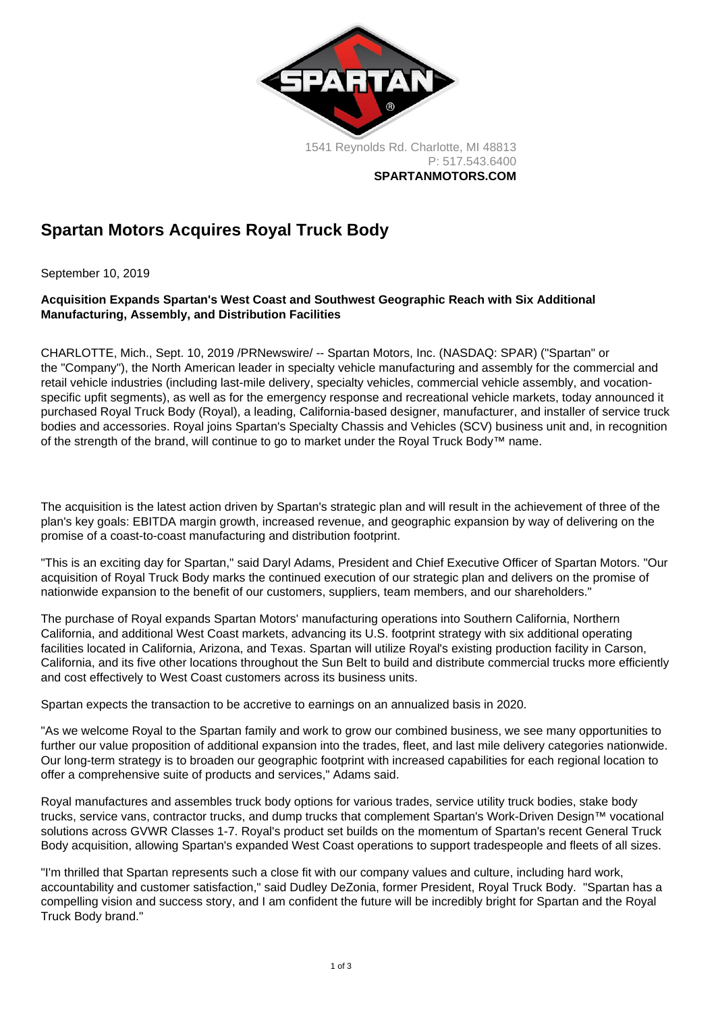1541 Reynolds Rd. Charlotte, MI 48813 P: [517.543.6400](tel:+15175436400) SPARTANMOTORS.COM

## Spartan Motors Acquires Royal Truck Body

September 10, 2019

Acquisition Expands Spartan's West Coast and Southwest Geographic Reach with Six Additional Manufacturing, Assembly, and Distribution Facilities

CHARLOTTE, Mich., Sept. 10, 2019 /PRNewswire/ -- Spartan Motors, Inc. (NASDAQ: SPAR) ("Spartan" or the "Company"), the North American leader in specialty vehicle manufacturing and assembly for the commercial and retail vehicle industries (including last-mile delivery, specialty vehicles, commercial vehicle assembly, and vocationspecific upfit segments), as well as for the emergency response and recreational vehicle markets, today announced it purchased Royal Truck Body (Royal), a leading, California-based designer, manufacturer, and installer of service truck bodies and accessories. Royal joins Spartan's Specialty Chassis and Vehicles (SCV) business unit and, in recognition of the strength of the brand, will continue to go to market under the Royal Truck Body™ name.

The acquisition is the latest action driven by Spartan's strategic plan and will result in the achievement of three of the plan's key goals: EBITDA margin growth, increased revenue, and geographic expansion by way of delivering on the promise of a coast-to-coast manufacturing and distribution footprint.

"This is an exciting day for Spartan," said Daryl Adams, President and Chief Executive Officer of Spartan Motors. "Our acquisition of Royal Truck Body marks the continued execution of our strategic plan and delivers on the promise of nationwide expansion to the benefit of our customers, suppliers, team members, and our shareholders."

The purchase of Royal expands Spartan Motors' manufacturing operations into Southern California, Northern California, and additional West Coast markets, advancing its U.S. footprint strategy with six additional operating facilities located in California, Arizona, and Texas. Spartan will utilize Royal's existing production facility in Carson, California, and its five other locations throughout the Sun Belt to build and distribute commercial trucks more efficiently and cost effectively to West Coast customers across its business units.

Spartan expects the transaction to be accretive to earnings on an annualized basis in 2020.

"As we welcome Royal to the Spartan family and work to grow our combined business, we see many opportunities to further our value proposition of additional expansion into the trades, fleet, and last mile delivery categories nationwide. Our long-term strategy is to broaden our geographic footprint with increased capabilities for each regional location to offer a comprehensive suite of products and services," Adams said.

Royal manufactures and assembles truck body options for various trades, service utility truck bodies, stake body trucks, service vans, contractor trucks, and dump trucks that complement Spartan's Work-Driven Design™ vocational solutions across GVWR Classes 1-7. Royal's product set builds on the momentum of Spartan's recent General Truck Body acquisition, allowing Spartan's expanded West Coast operations to support tradespeople and fleets of all sizes.

"I'm thrilled that Spartan represents such a close fit with our company values and culture, including hard work, accountability and customer satisfaction," said Dudley DeZonia, former President, Royal Truck Body. "Spartan has a compelling vision and success story, and I am confident the future will be incredibly bright for Spartan and the Royal Truck Body brand."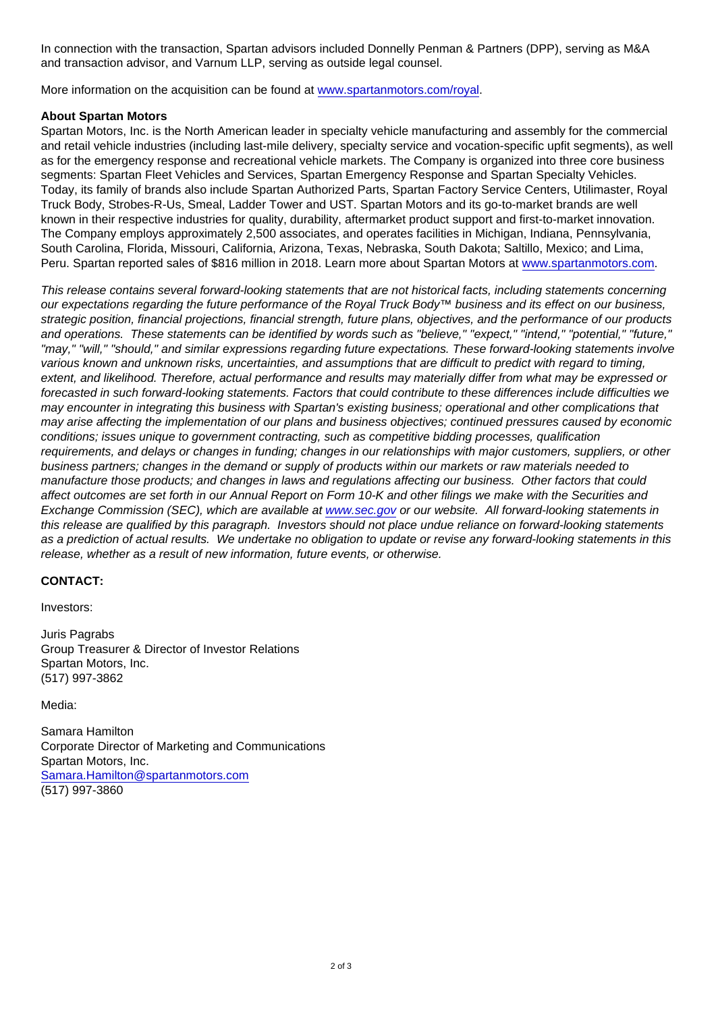In connection with the transaction, Spartan advisors included Donnelly Penman & Partners (DPP), serving as M&A and transaction advisor, and Varnum LLP, serving as outside legal counsel.

More information on the acquisition can be found at [www.spartanmotors.com/royal.](https://c212.net/c/link/?t=0&l=en&o=2574728-1&h=124110452&u=http://www.spartanmotors.com/royal&a=www.spartanmotors.com/royal)

## About Spartan Motors

Spartan Motors, Inc. is the North American leader in specialty vehicle manufacturing and assembly for the commercial and retail vehicle industries (including last-mile delivery, specialty service and vocation-specific upfit segments), as well as for the emergency response and recreational vehicle markets. The Company is organized into three core business segments: Spartan Fleet Vehicles and Services, Spartan Emergency Response and Spartan Specialty Vehicles. Today, its family of brands also include Spartan Authorized Parts, Spartan Factory Service Centers, Utilimaster, Royal Truck Body, Strobes-R-Us, Smeal, Ladder Tower and UST. Spartan Motors and its go-to-market brands are well known in their respective industries for quality, durability, aftermarket product support and first-to-market innovation. The Company employs approximately 2,500 associates, and operates facilities in Michigan, Indiana, Pennsylvania, South Carolina, Florida, Missouri, California, Arizona, Texas, Nebraska, South Dakota; Saltillo, Mexico; and Lima, Peru. Spartan reported sales of \$816 million in 2018. Learn more about Spartan Motors at [www.spartanmotors.com](https://c212.net/c/link/?t=0&l=en&o=2574728-1&h=1838716245&u=http://www.spartanmotors.com/&a=www.spartanmotors.com).

This release contains several forward-looking statements that are not historical facts, including statements concerning our expectations regarding the future performance of the Royal Truck Body™ business and its effect on our business, strategic position, financial projections, financial strength, future plans, objectives, and the performance of our products and operations. These statements can be identified by words such as "believe," "expect," "intend," "potential," "future," "may," "will," "should," and similar expressions regarding future expectations. These forward-looking statements involve various known and unknown risks, uncertainties, and assumptions that are difficult to predict with regard to timing, extent, and likelihood. Therefore, actual performance and results may materially differ from what may be expressed or forecasted in such forward-looking statements. Factors that could contribute to these differences include difficulties we may encounter in integrating this business with Spartan's existing business; operational and other complications that may arise affecting the implementation of our plans and business objectives; continued pressures caused by economic conditions; issues unique to government contracting, such as competitive bidding processes, qualification requirements, and delays or changes in funding; changes in our relationships with major customers, suppliers, or other business partners; changes in the demand or supply of products within our markets or raw materials needed to manufacture those products; and changes in laws and regulations affecting our business. Other factors that could affect outcomes are set forth in our Annual Report on Form 10-K and other filings we make with the Securities and Exchange Commission (SEC), which are available at [www.sec.gov](https://c212.net/c/link/?t=0&l=en&o=2574728-1&h=3053941619&u=http://www.sec.gov/&a=www.sec.gov) or our website. All forward-looking statements in this release are qualified by this paragraph. Investors should not place undue reliance on forward-looking statements as a prediction of actual results. We undertake no obligation to update or revise any forward-looking statements in this release, whether as a result of new information, future events, or otherwise.

## CONTACT:

Investors:

Juris Pagrabs Group Treasurer & Director of Investor Relations Spartan Motors, Inc. (517) 997-3862

Media:

Samara Hamilton Corporate Director of Marketing and Communications Spartan Motors, Inc. [Samara.Hamilton@spartanmotors.com](mailto:Samara.Hamilton@spartanmotors.com) (517) 997-3860